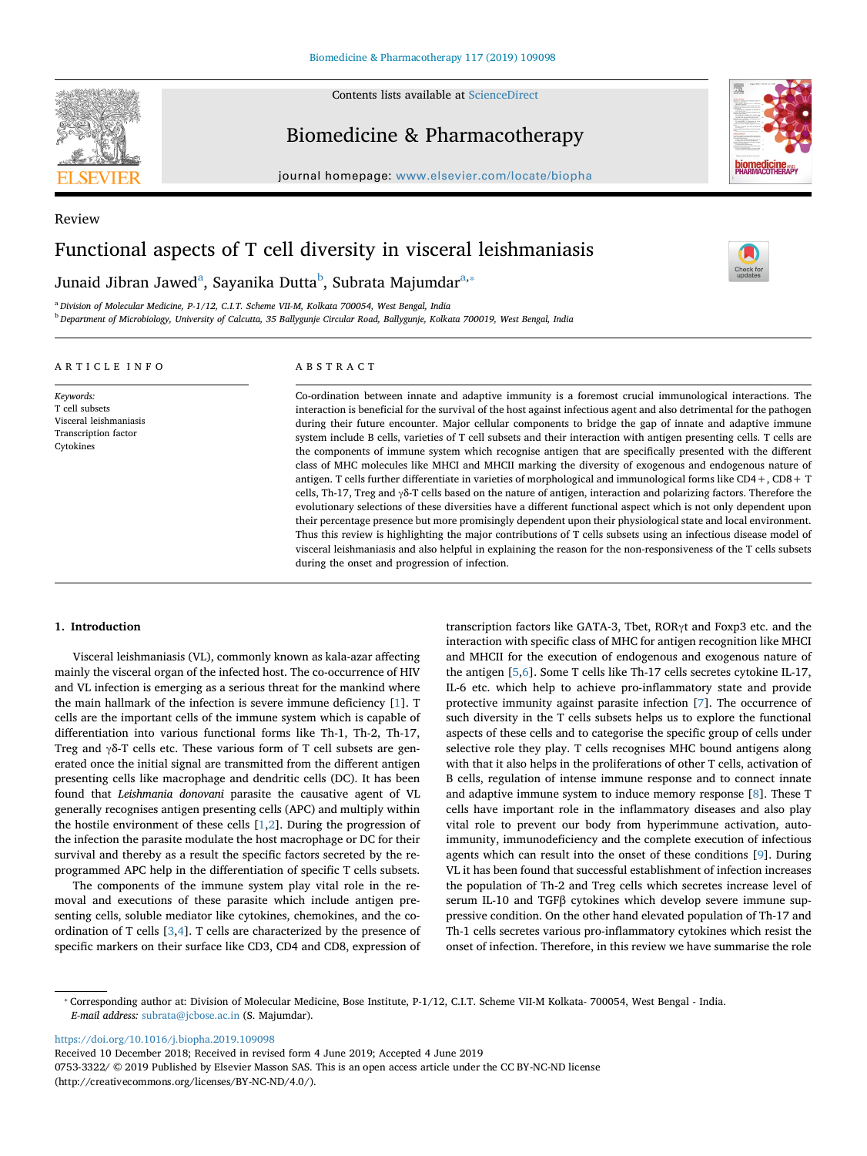

Contents lists available at [ScienceDirect](http://www.sciencedirect.com/science/journal/07533322)

## Biomedicine & Pharmacotherapy

journal homepage: [www.elsevier.com/locate/biopha](https://www.elsevier.com/locate/biopha)



 $\sum_{\text{the}}$ 

# Review Functional aspects of T cell diversity in visceral leishmaniasis

Jun[a](#page-0-0)id Ji[b](#page-0-1)[ra](#page-0-0)n Jawed<sup>a</sup>, Sayanika Dutta<sup>b</sup>, Subrata Majumdar<sup>a,</sup>\*

<span id="page-0-0"></span><sup>a</sup> *Division of Molecular Medicine, P-1/12, C.I.T. Scheme VII-M, Kolkata 700054, West Bengal, India*

<span id="page-0-1"></span><sup>b</sup> *Department of Microbiology, University of Calcutta, 35 Ballygunje Circular Road, Ballygunje, Kolkata 700019, West Bengal, India*

## ARTICLE INFO

*Keywords:* T cell subsets Visceral leishmaniasis Transcription factor Cytokines

ABSTRACT

Co-ordination between innate and adaptive immunity is a foremost crucial immunological interactions. The interaction is beneficial for the survival of the host against infectious agent and also detrimental for the pathogen during their future encounter. Major cellular components to bridge the gap of innate and adaptive immune system include B cells, varieties of T cell subsets and their interaction with antigen presenting cells. T cells are the components of immune system which recognise antigen that are specifically presented with the different class of MHC molecules like MHCI and MHCII marking the diversity of exogenous and endogenous nature of antigen. T cells further differentiate in varieties of morphological and immunological forms like CD4+, CD8+ T cells, Th-17, Treg and γδ-T cells based on the nature of antigen, interaction and polarizing factors. Therefore the evolutionary selections of these diversities have a different functional aspect which is not only dependent upon their percentage presence but more promisingly dependent upon their physiological state and local environment. Thus this review is highlighting the major contributions of T cells subsets using an infectious disease model of visceral leishmaniasis and also helpful in explaining the reason for the non-responsiveness of the T cells subsets during the onset and progression of infection.

#### **1. Introduction**

Visceral leishmaniasis (VL), commonly known as kala-azar affecting mainly the visceral organ of the infected host. The co-occurrence of HIV and VL infection is emerging as a serious threat for the mankind where the main hallmark of the infection is severe immune deficiency [\[1\]](#page-3-0). T cells are the important cells of the immune system which is capable of differentiation into various functional forms like Th-1, Th-2, Th-17, Treg and γδ-T cells etc. These various form of T cell subsets are generated once the initial signal are transmitted from the different antigen presenting cells like macrophage and dendritic cells (DC). It has been found that *Leishmania donovani* parasite the causative agent of VL generally recognises antigen presenting cells (APC) and multiply within the hostile environment of these cells  $[1,2]$  $[1,2]$  $[1,2]$ . During the progression of the infection the parasite modulate the host macrophage or DC for their survival and thereby as a result the specific factors secreted by the reprogrammed APC help in the differentiation of specific T cells subsets.

The components of the immune system play vital role in the removal and executions of these parasite which include antigen presenting cells, soluble mediator like cytokines, chemokines, and the coordination of T cells [\[3,](#page-3-2)[4](#page-3-3)]. T cells are characterized by the presence of specific markers on their surface like CD3, CD4 and CD8, expression of transcription factors like GATA-3, Tbet, RORγt and Foxp3 etc. and the interaction with specific class of MHC for antigen recognition like MHCI and MHCII for the execution of endogenous and exogenous nature of the antigen [\[5,](#page-3-4)[6](#page-3-5)]. Some T cells like Th-17 cells secretes cytokine IL-17, IL-6 etc. which help to achieve pro-inflammatory state and provide protective immunity against parasite infection [[7\]](#page-3-6). The occurrence of such diversity in the T cells subsets helps us to explore the functional aspects of these cells and to categorise the specific group of cells under selective role they play. T cells recognises MHC bound antigens along with that it also helps in the proliferations of other T cells, activation of B cells, regulation of intense immune response and to connect innate and adaptive immune system to induce memory response [\[8\]](#page-3-7). These T cells have important role in the inflammatory diseases and also play vital role to prevent our body from hyperimmune activation, autoimmunity, immunodeficiency and the complete execution of infectious agents which can result into the onset of these conditions [\[9\]](#page-3-8). During VL it has been found that successful establishment of infection increases the population of Th-2 and Treg cells which secretes increase level of serum IL-10 and TGFβ cytokines which develop severe immune suppressive condition. On the other hand elevated population of Th-17 and Th-1 cells secretes various pro-inflammatory cytokines which resist the onset of infection. Therefore, in this review we have summarise the role

<https://doi.org/10.1016/j.biopha.2019.109098>

Received 10 December 2018; Received in revised form 4 June 2019; Accepted 4 June 2019

0753-3322/ © 2019 Published by Elsevier Masson SAS. This is an open access article under the CC BY-NC-ND license (http://creativecommons.org/licenses/BY-NC-ND/4.0/).

<span id="page-0-2"></span><sup>⁎</sup> Corresponding author at: Division of Molecular Medicine, Bose Institute, P-1/12, C.I.T. Scheme VII-M Kolkata- 700054, West Bengal - India. *E-mail address:* [subrata@jcbose.ac.in](mailto:subrata@jcbose.ac.in) (S. Majumdar).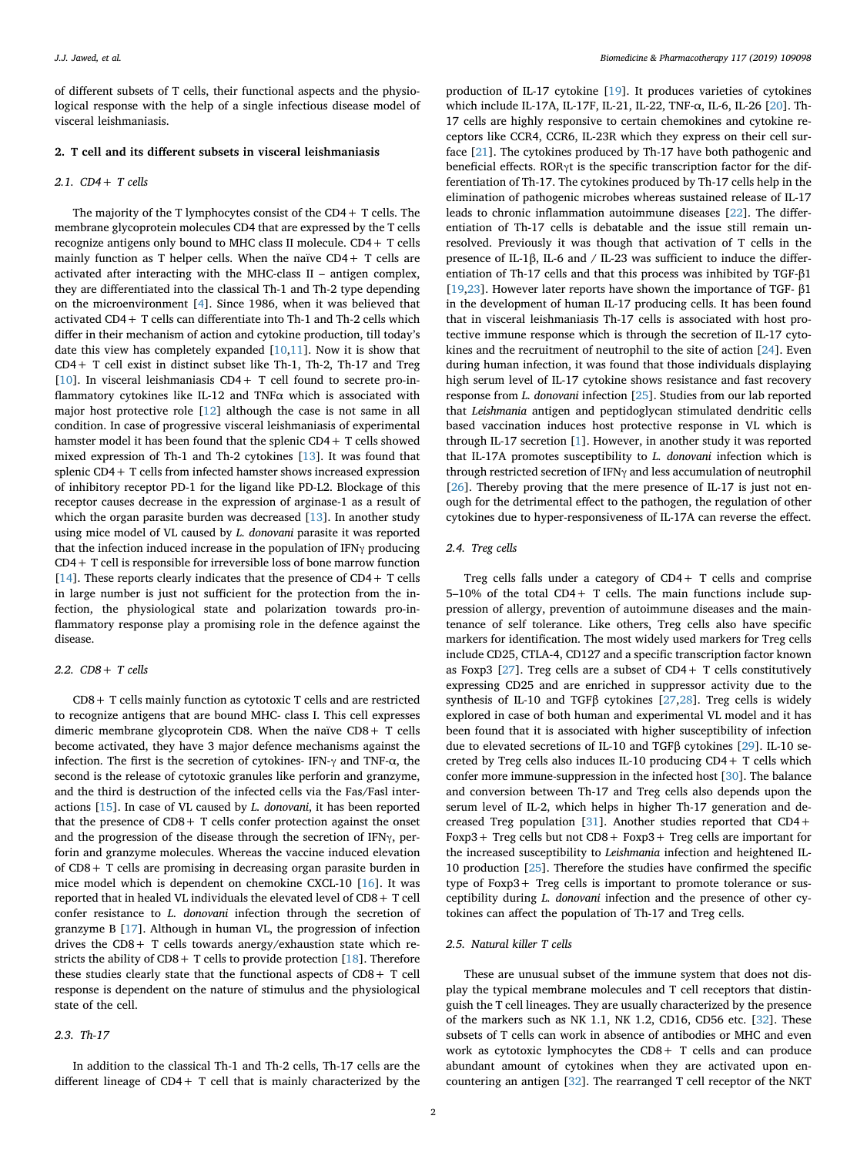of different subsets of T cells, their functional aspects and the physiological response with the help of a single infectious disease model of visceral leishmaniasis.

#### **2. T cell and its different subsets in visceral leishmaniasis**

## *2.1. CD4+ T cells*

The majority of the T lymphocytes consist of the CD4+ T cells. The membrane glycoprotein molecules CD4 that are expressed by the T cells recognize antigens only bound to MHC class II molecule. CD4+ T cells mainly function as T helper cells. When the naïve CD4+ T cells are activated after interacting with the MHC-class II – antigen complex, they are differentiated into the classical Th-1 and Th-2 type depending on the microenvironment [[4](#page-3-3)]. Since 1986, when it was believed that activated CD4+ T cells can differentiate into Th-1 and Th-2 cells which differ in their mechanism of action and cytokine production, till today's date this view has completely expanded  $[10,11]$  $[10,11]$  $[10,11]$ . Now it is show that CD4+ T cell exist in distinct subset like Th-1, Th-2, Th-17 and Treg [[10\]](#page-3-9). In visceral leishmaniasis  $CD4+T$  cell found to secrete pro-inflammatory cytokines like IL-12 and TNF $\alpha$  which is associated with major host protective role [[12\]](#page-3-11) although the case is not same in all condition. In case of progressive visceral leishmaniasis of experimental hamster model it has been found that the splenic CD4+ T cells showed mixed expression of Th-1 and Th-2 cytokines [\[13](#page-3-12)]. It was found that splenic CD4+ T cells from infected hamster shows increased expression of inhibitory receptor PD-1 for the ligand like PD-L2. Blockage of this receptor causes decrease in the expression of arginase-1 as a result of which the organ parasite burden was decreased [[13\]](#page-3-12). In another study using mice model of VL caused by *L. donovani* parasite it was reported that the infection induced increase in the population of IFNγ producing CD4+ T cell is responsible for irreversible loss of bone marrow function [[14\]](#page-3-13). These reports clearly indicates that the presence of  $CD4 + T$  cells in large number is just not sufficient for the protection from the infection, the physiological state and polarization towards pro-inflammatory response play a promising role in the defence against the disease.

## *2.2. CD8+ T cells*

CD8+ T cells mainly function as cytotoxic T cells and are restricted to recognize antigens that are bound MHC- class I. This cell expresses dimeric membrane glycoprotein CD8. When the naïve CD8+ T cells become activated, they have 3 major defence mechanisms against the infection. The first is the secretion of cytokines- IFN-γ and TNF-α, the second is the release of cytotoxic granules like perforin and granzyme, and the third is destruction of the infected cells via the Fas/Fasl interactions [[15](#page-3-14)]. In case of VL caused by *L. donovani*, it has been reported that the presence of CD8+ T cells confer protection against the onset and the progression of the disease through the secretion of IFNγ, perforin and granzyme molecules. Whereas the vaccine induced elevation of CD8+ T cells are promising in decreasing organ parasite burden in mice model which is dependent on chemokine CXCL-10 [[16\]](#page-3-15). It was reported that in healed VL individuals the elevated level of CD8+ T cell confer resistance to *L. donovani* infection through the secretion of granzyme B [[17\]](#page-3-16). Although in human VL, the progression of infection drives the CD8+ T cells towards anergy/exhaustion state which restricts the ability of  $CD8 + T$  cells to provide protection [[18\]](#page-3-17). Therefore these studies clearly state that the functional aspects of CD8+ T cell response is dependent on the nature of stimulus and the physiological state of the cell.

## *2.3. Th-17*

In addition to the classical Th-1 and Th-2 cells, Th-17 cells are the different lineage of CD4+ T cell that is mainly characterized by the

production of IL-17 cytokine [\[19](#page-3-18)]. It produces varieties of cytokines which include IL-17A, IL-17F, IL-21, IL-22, TNF-α, IL-6, IL-26 [[20\]](#page-3-19). Th-17 cells are highly responsive to certain chemokines and cytokine receptors like CCR4, CCR6, IL-23R which they express on their cell surface [[21\]](#page-3-20). The cytokines produced by Th-17 have both pathogenic and beneficial effects. RORγt is the specific transcription factor for the differentiation of Th-17. The cytokines produced by Th-17 cells help in the elimination of pathogenic microbes whereas sustained release of IL-17 leads to chronic inflammation autoimmune diseases [[22\]](#page-3-21). The differentiation of Th-17 cells is debatable and the issue still remain unresolved. Previously it was though that activation of T cells in the presence of IL-1β, IL-6 and / IL-23 was sufficient to induce the differentiation of Th-17 cells and that this process was inhibited by TGF-β1 [[19](#page-3-18)[,23](#page-3-22)]. However later reports have shown the importance of TGF- β1 in the development of human IL-17 producing cells. It has been found that in visceral leishmaniasis Th-17 cells is associated with host protective immune response which is through the secretion of IL-17 cytokines and the recruitment of neutrophil to the site of action [\[24](#page-3-23)]. Even during human infection, it was found that those individuals displaying high serum level of IL-17 cytokine shows resistance and fast recovery response from *L. donovani* infection [[25\]](#page-3-24). Studies from our lab reported that *Leishmania* antigen and peptidoglycan stimulated dendritic cells based vaccination induces host protective response in VL which is through IL-17 secretion [\[1\]](#page-3-0). However, in another study it was reported that IL-17A promotes susceptibility to *L. donovani* infection which is through restricted secretion of IFNγ and less accumulation of neutrophil [[26\]](#page-3-25). Thereby proving that the mere presence of IL-17 is just not enough for the detrimental effect to the pathogen, the regulation of other cytokines due to hyper-responsiveness of IL-17A can reverse the effect.

#### *2.4. Treg cells*

Treg cells falls under a category of CD4+ T cells and comprise 5–10% of the total CD4+ T cells. The main functions include suppression of allergy, prevention of autoimmune diseases and the maintenance of self tolerance. Like others, Treg cells also have specific markers for identification. The most widely used markers for Treg cells include CD25, CTLA-4, CD127 and a specific transcription factor known as Foxp3 [\[27](#page-3-26)]. Treg cells are a subset of  $CD4+T$  cells constitutively expressing CD25 and are enriched in suppressor activity due to the synthesis of IL-10 and TGFβ cytokines  $[27,28]$  $[27,28]$  $[27,28]$ . Treg cells is widely explored in case of both human and experimental VL model and it has been found that it is associated with higher susceptibility of infection due to elevated secretions of IL-10 and TGFβ cytokines [[29\]](#page-3-28). IL-10 secreted by Treg cells also induces IL-10 producing CD4+ T cells which confer more immune-suppression in the infected host [[30\]](#page-3-29). The balance and conversion between Th-17 and Treg cells also depends upon the serum level of IL-2, which helps in higher Th-17 generation and decreased Treg population [[31\]](#page-3-30). Another studies reported that CD4+ Foxp3+ Treg cells but not CD8+ Foxp3+ Treg cells are important for the increased susceptibility to *Leishmania* infection and heightened IL-10 production [\[25](#page-3-24)]. Therefore the studies have confirmed the specific type of Foxp3+ Treg cells is important to promote tolerance or susceptibility during *L. donovani* infection and the presence of other cytokines can affect the population of Th-17 and Treg cells.

## *2.5. Natural killer T cells*

These are unusual subset of the immune system that does not display the typical membrane molecules and T cell receptors that distinguish the T cell lineages. They are usually characterized by the presence of the markers such as NK 1.1, NK 1.2, CD16, CD56 etc. [[32\]](#page-3-31). These subsets of T cells can work in absence of antibodies or MHC and even work as cytotoxic lymphocytes the CD8+ T cells and can produce abundant amount of cytokines when they are activated upon encountering an antigen [[32\]](#page-3-31). The rearranged T cell receptor of the NKT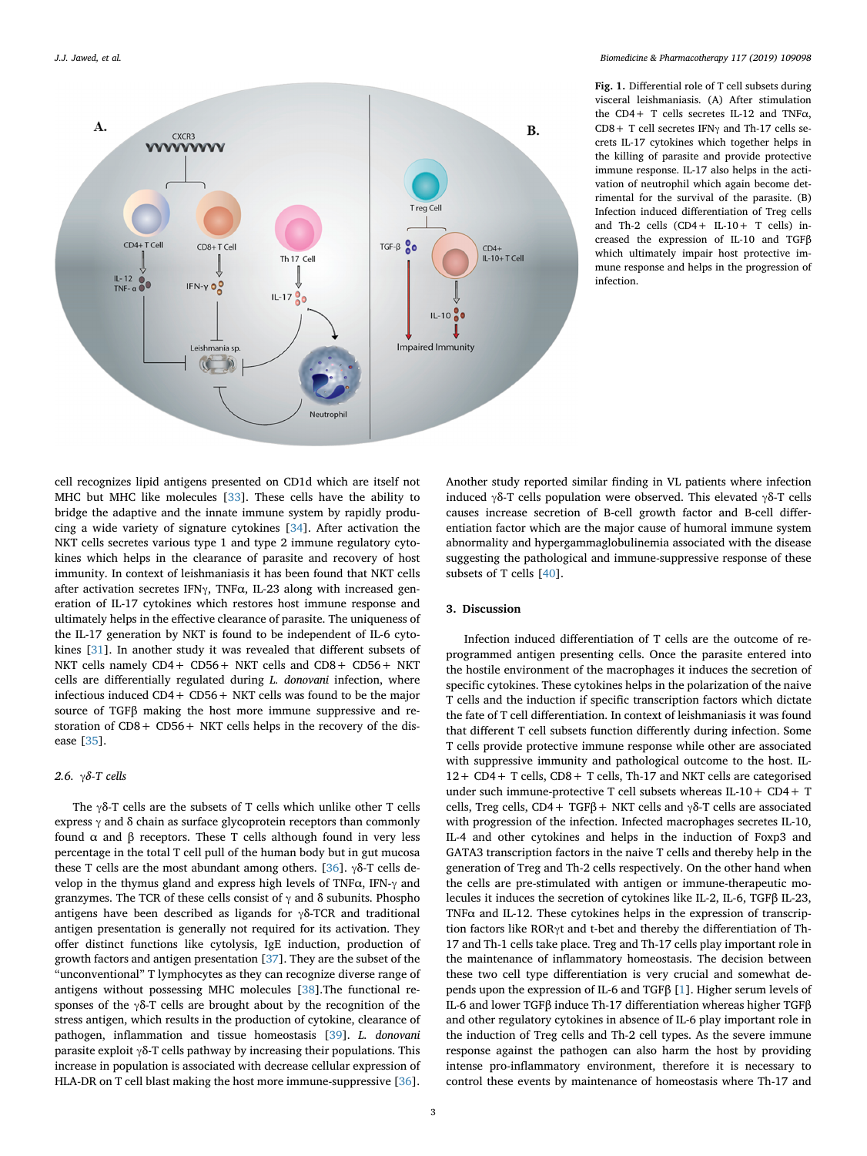<span id="page-2-0"></span>

**Fig. 1.** Differential role of T cell subsets during visceral leishmaniasis. (A) After stimulation the CD4+ T cells secretes IL-12 and TNFα, CD8+ T cell secretes IFNγ and Th-17 cells secrets IL-17 cytokines which together helps in the killing of parasite and provide protective immune response. IL-17 also helps in the activation of neutrophil which again become detrimental for the survival of the parasite. (B) Infection induced differentiation of Treg cells and Th-2 cells (CD4+ IL-10+ T cells) increased the expression of IL-10 and TGFβ which ultimately impair host protective immune response and helps in the progression of infection.

cell recognizes lipid antigens presented on CD1d which are itself not MHC but MHC like molecules [[33\]](#page-3-32). These cells have the ability to bridge the adaptive and the innate immune system by rapidly producing a wide variety of signature cytokines [\[34](#page-3-33)]. After activation the NKT cells secretes various type 1 and type 2 immune regulatory cytokines which helps in the clearance of parasite and recovery of host immunity. In context of leishmaniasis it has been found that NKT cells after activation secretes IFN $\gamma$ , TNF $\alpha$ , IL-23 along with increased generation of IL-17 cytokines which restores host immune response and ultimately helps in the effective clearance of parasite. The uniqueness of the IL-17 generation by NKT is found to be independent of IL-6 cytokines [[31\]](#page-3-30). In another study it was revealed that different subsets of NKT cells namely CD4+ CD56+ NKT cells and CD8+ CD56+ NKT cells are differentially regulated during *L. donovani* infection, where infectious induced CD4+ CD56+ NKT cells was found to be the major source of TGFβ making the host more immune suppressive and restoration of CD8+ CD56+ NKT cells helps in the recovery of the disease [[35\]](#page-3-34).

## *2.6. γδ-T cells*

The γδ-T cells are the subsets of T cells which unlike other T cells express  $\gamma$  and  $\delta$  chain as surface glycoprotein receptors than commonly found α and β receptors. These T cells although found in very less percentage in the total T cell pull of the human body but in gut mucosa these T cells are the most abundant among others. [\[36](#page-3-35)]. γδ-T cells develop in the thymus gland and express high levels of TNFα, IFN-γ and granzymes. The TCR of these cells consist of  $\gamma$  and  $\delta$  subunits. Phospho antigens have been described as ligands for  $\gamma\delta$ -TCR and traditional antigen presentation is generally not required for its activation. They offer distinct functions like cytolysis, IgE induction, production of growth factors and antigen presentation [[37\]](#page-3-36). They are the subset of the "unconventional" T lymphocytes as they can recognize diverse range of antigens without possessing MHC molecules [\[38](#page-3-37)].The functional responses of the γδ-T cells are brought about by the recognition of the stress antigen, which results in the production of cytokine, clearance of pathogen, inflammation and tissue homeostasis [\[39](#page-3-38)]. *L. donovani* parasite exploit  $\gamma$ δ-T cells pathway by increasing their populations. This increase in population is associated with decrease cellular expression of HLA-DR on T cell blast making the host more immune-suppressive [\[36](#page-3-35)].

Another study reported similar finding in VL patients where infection induced γδ-T cells population were observed. This elevated γδ-T cells causes increase secretion of B-cell growth factor and B-cell differentiation factor which are the major cause of humoral immune system abnormality and hypergammaglobulinemia associated with the disease suggesting the pathological and immune-suppressive response of these subsets of T cells [[40\]](#page-3-39).

## **3. Discussion**

Infection induced differentiation of T cells are the outcome of reprogrammed antigen presenting cells. Once the parasite entered into the hostile environment of the macrophages it induces the secretion of specific cytokines. These cytokines helps in the polarization of the naive T cells and the induction if specific transcription factors which dictate the fate of T cell differentiation. In context of leishmaniasis it was found that different T cell subsets function differently during infection. Some T cells provide protective immune response while other are associated with suppressive immunity and pathological outcome to the host. IL-12+ CD4+ T cells, CD8+ T cells, Th-17 and NKT cells are categorised under such immune-protective T cell subsets whereas IL-10+ CD4+ T cells, Treg cells, CD4 + TGFβ + NKT cells and  $γδ$ -T cells are associated with progression of the infection. Infected macrophages secretes IL-10, IL-4 and other cytokines and helps in the induction of Foxp3 and GATA3 transcription factors in the naive T cells and thereby help in the generation of Treg and Th-2 cells respectively. On the other hand when the cells are pre-stimulated with antigen or immune-therapeutic molecules it induces the secretion of cytokines like IL-2, IL-6, TGFβ IL-23, TNF $\alpha$  and IL-12. These cytokines helps in the expression of transcription factors like RORγt and t-bet and thereby the differentiation of Th-17 and Th-1 cells take place. Treg and Th-17 cells play important role in the maintenance of inflammatory homeostasis. The decision between these two cell type differentiation is very crucial and somewhat depends upon the expression of IL-6 and TGFβ [[1](#page-3-0)]. Higher serum levels of IL-6 and lower TGFβ induce Th-17 differentiation whereas higher TGFβ and other regulatory cytokines in absence of IL-6 play important role in the induction of Treg cells and Th-2 cell types. As the severe immune response against the pathogen can also harm the host by providing intense pro-inflammatory environment, therefore it is necessary to control these events by maintenance of homeostasis where Th-17 and